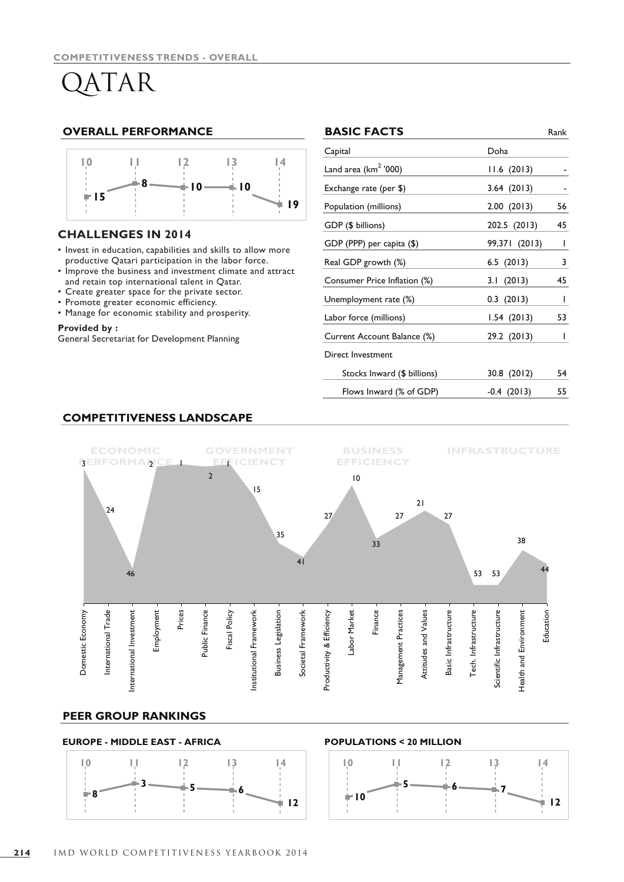# QATAR

### **OVERALL PERFORMANCE**



### **CHALLENGES IN 2014**

- Invest in education, capabilities and skills to allow more productive Qatari participation in the labor force.
- Improve the business and investment climate and attract and retain top international talent in Qatar.
- • Create greater space for the private sector.
- Promote greater economic efficiency.
- Manage for economic stability and prosperity.

### **Provided by :**

General Secretariat for Development Planning

|    | <b>BASIC FACTS</b>               |               | Rank         |
|----|----------------------------------|---------------|--------------|
|    | Capital                          | Doha          |              |
|    | Land area (km <sup>2</sup> '000) | 11.6(2013)    |              |
|    | Exchange rate (per \$)           | 3.64(2013)    |              |
| ۱9 | Population (millions)            | 2.00(2013)    | 56           |
|    | GDP (\$ billions)                | 202.5 (2013)  | 45           |
|    | GDP (PPP) per capita (\$)        | 99,371 (2013) | $\mathbf{I}$ |
|    | Real GDP growth (%)              | 6.5(2013)     | 3            |
| :t | Consumer Price Inflation (%)     | 3.1(2013)     | 45           |
|    | Unemployment rate (%)            | $0.3$ (2013)  | I            |
|    | Labor force (millions)           | 1.54(2013)    | 53           |
|    | Current Account Balance (%)      | 29.2 (2013)   | I            |
|    | Direct Investment                |               |              |
|    | Stocks Inward (\$ billions)      | 30.8 (2012)   | 54           |
|    | Flows Inward (% of GDP)          | $-0.4(2013)$  | 55           |
|    |                                  |               |              |

# **COMPETITIVENESS LANDSCAPE**



### **PEER GROUP RANKINGS**

### **EUROPE - MIDDLE EAST - AFRICA POPULATIONS < 20 MILLION**



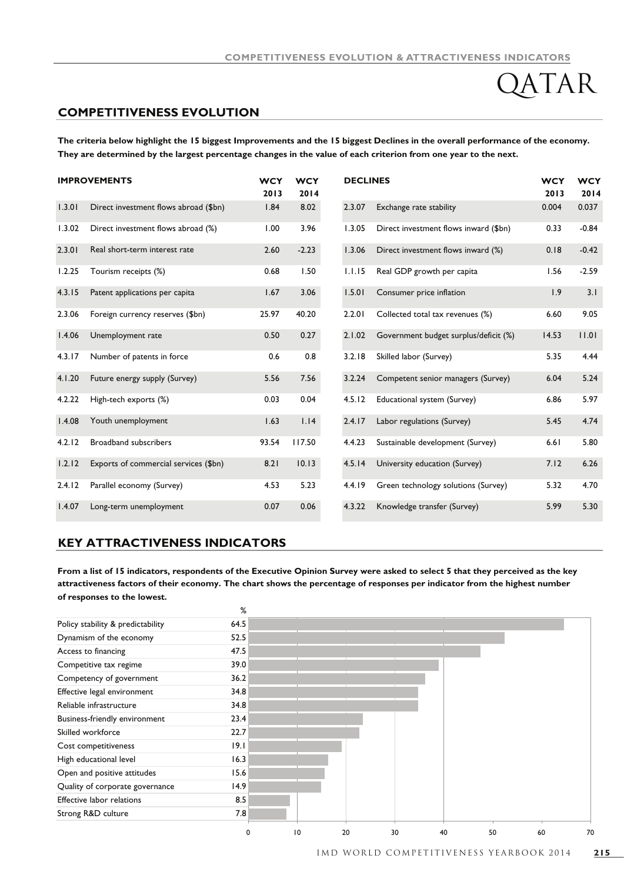$\text{TAR}$ 

### **COMPETITIVENESS EVOLUTION**

**The criteria below highlight the 15 biggest Improvements and the 15 biggest Declines in the overall performance of the economy. They are determined by the largest percentage changes in the value of each criterion from one year to the next.**

|        | <b>IMPROVEMENTS</b>                   | <b>WCY</b><br>2013 | <b>WCY</b><br>2014 | <b>DECLINES</b> |                                       | <b>WCY</b><br>2013 | <b>WCY</b><br>2014 |
|--------|---------------------------------------|--------------------|--------------------|-----------------|---------------------------------------|--------------------|--------------------|
| 1.3.01 | Direct investment flows abroad (\$bn) | 1.84               | 8.02               | 2.3.07          | Exchange rate stability               | 0.004              | 0.037              |
| 1.3.02 | Direct investment flows abroad (%)    | 1.00               | 3.96               | 1.3.05          | Direct investment flows inward (\$bn) | 0.33               | $-0.84$            |
| 2.3.01 | Real short-term interest rate         | 2.60               | $-2.23$            | 1.3.06          | Direct investment flows inward (%)    | 0.18               | $-0.42$            |
| 1.2.25 | Tourism receipts (%)                  | 0.68               | 1.50               | 1.1.15          | Real GDP growth per capita            | 1.56               | $-2.59$            |
| 4.3.15 | Patent applications per capita        | 1.67               | 3.06               | 1.5.01          | Consumer price inflation              | 1.9                | 3.1                |
| 2.3.06 | Foreign currency reserves (\$bn)      | 25.97              | 40.20              | 2.2.01          | Collected total tax revenues (%)      | 6.60               | 9.05               |
| 1.4.06 | Unemployment rate                     | 0.50               | 0.27               | 2.1.02          | Government budget surplus/deficit (%) | 14.53              | 11.01              |
| 4.3.17 | Number of patents in force            | 0.6                | 0.8                | 3.2.18          | Skilled labor (Survey)                | 5.35               | 4.44               |
| 4.1.20 | Future energy supply (Survey)         | 5.56               | 7.56               | 3.2.24          | Competent senior managers (Survey)    | 6.04               | 5.24               |
| 4.2.22 | High-tech exports (%)                 | 0.03               | 0.04               | 4.5.12          | Educational system (Survey)           | 6.86               | 5.97               |
| 1.4.08 | Youth unemployment                    | 1.63               | 1.14               | 2.4.17          | Labor regulations (Survey)            | 5.45               | 4.74               |
| 4.2.12 | Broadband subscribers                 | 93.54              | 117.50             | 4.4.23          | Sustainable development (Survey)      | 6.61               | 5.80               |
| 1.2.12 | Exports of commercial services (\$bn) | 8.21               | 10.13              | 4.5.14          | University education (Survey)         | 7.12               | 6.26               |
| 2.4.12 | Parallel economy (Survey)             | 4.53               | 5.23               | 4.4.19          | Green technology solutions (Survey)   | 5.32               | 4.70               |
| 1.4.07 | Long-term unemployment                | 0.07               | 0.06               | 4.3.22          | Knowledge transfer (Survey)           | 5.99               | 5.30               |

### **KEY ATTRACTIVENESS INDICATORS**

**From a list of 15 indicators, respondents of the Executive Opinion Survey were asked to select 5 that they perceived as the key attractiveness factors of their economy. The chart shows the percentage of responses per indicator from the highest number of responses to the lowest.**

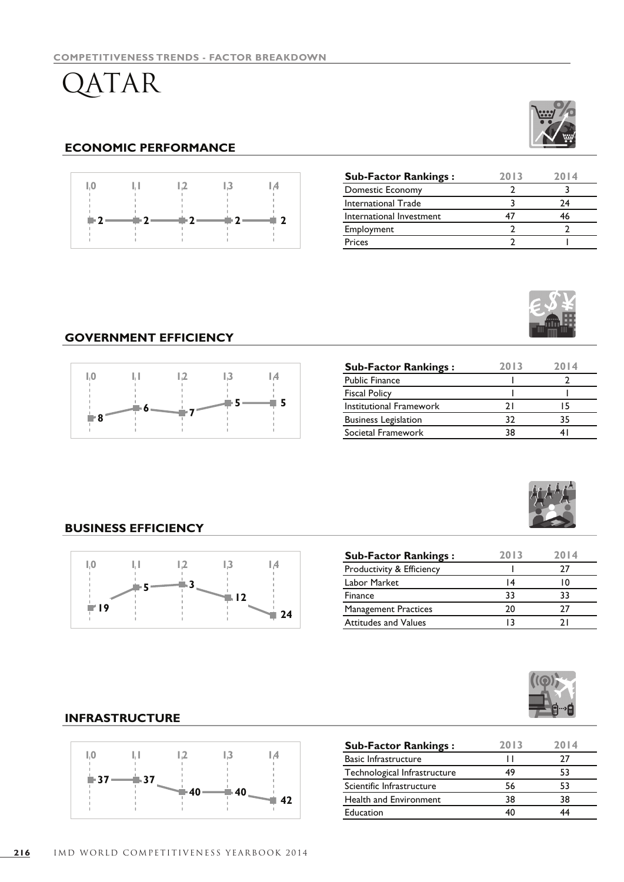QATAR

# **ECONOMIC PERFORMANCE**



| <b>Sub-Factor Rankings:</b> | 2013 | 2014 |
|-----------------------------|------|------|
| Domestic Economy            |      |      |
| International Trade         |      | 74   |
| International Investment    |      | 46   |
| Employment                  |      |      |
| Prices                      |      |      |

# **GOVERNMENT EFFICIENCY**



| <b>Sub-Factor Rankings:</b> | 2013 | 2014 |
|-----------------------------|------|------|
| <b>Public Finance</b>       |      |      |
| <b>Fiscal Policy</b>        |      |      |
| Institutional Framework     | ו כ  |      |
| <b>Business Legislation</b> | 32   | 35   |
| Societal Framework          | 38   |      |



# **BUSINESS EFFICIENCY**



| <b>Sub-Factor Rankings:</b> | 2013 | 2014 |
|-----------------------------|------|------|
| Productivity & Efficiency   |      |      |
| Labor Market                | ا 4  |      |
| Finance                     | 33   | 33   |
| <b>Management Practices</b> | ንበ   |      |
| <b>Attitudes and Values</b> |      |      |



# **INFRASTRUCTURE**



| <b>Sub-Factor Rankings:</b>   | 2013 | 2014 |
|-------------------------------|------|------|
| <b>Basic Infrastructure</b>   |      | 77   |
| Technological Infrastructure  | 49   | 53   |
| Scientific Infrastructure     | 56   | 53   |
| <b>Health and Environment</b> | 38   | 38   |
| Education                     |      |      |